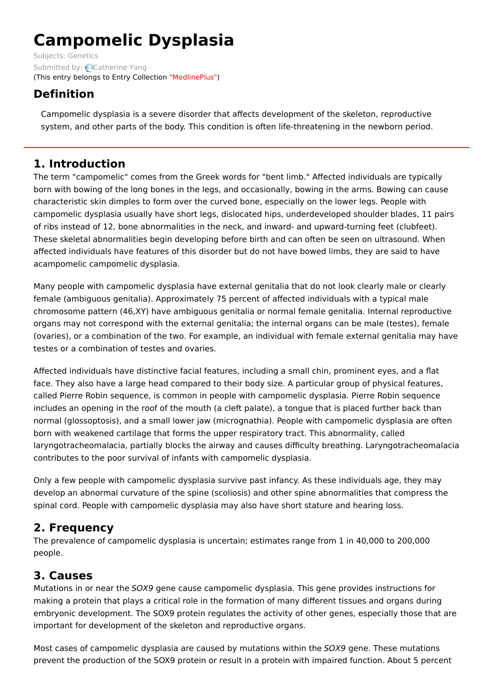# **Campomelic Dysplasia**

Subjects: [Genetics](https://encyclopedia.pub/item/subject/56) Submitted by: [Catherine](https://sciprofiles.com/profile/807601) Yang (This entry belongs to Entry Collection ["MedlinePlus"](https://encyclopedia.pub/entry/collection/24))

## **Definition**

Campomelic dysplasia is a severe disorder that affects development of the skeleton, reproductive system, and other parts of the body. This condition is often life-threatening in the newborn period.

## **1. Introduction**

The term "campomelic" comes from the Greek words for "bent limb." Affected individuals are typically born with bowing of the long bones in the legs, and occasionally, bowing in the arms. Bowing can cause characteristic skin dimples to form over the curved bone, especially on the lower legs. People with campomelic dysplasia usually have short legs, dislocated hips, underdeveloped shoulder blades, 11 pairs of ribs instead of 12, bone abnormalities in the neck, and inward- and upward-turning feet (clubfeet). These skeletal abnormalities begin developing before birth and can often be seen on ultrasound. When affected individuals have features of this disorder but do not have bowed limbs, they are said to have acampomelic campomelic dysplasia.

Many people with campomelic dysplasia have external genitalia that do not look clearly male or clearly female (ambiguous genitalia). Approximately 75 percent of affected individuals with a typical male chromosome pattern (46,XY) have ambiguous genitalia or normal female genitalia. Internal reproductive organs may not correspond with the external genitalia; the internal organs can be male (testes), female (ovaries), or a combination of the two. For example, an individual with female external genitalia may have testes or a combination of testes and ovaries.

Affected individuals have distinctive facial features, including a small chin, prominent eyes, and a flat face. They also have a large head compared to their body size. A particular group of physical features, called Pierre Robin sequence, is common in people with campomelic dysplasia. Pierre Robin sequence includes an opening in the roof of the mouth (a cleft palate), a tongue that is placed further back than normal (glossoptosis), and a small lower jaw (micrognathia). People with campomelic dysplasia are often born with weakened cartilage that forms the upper respiratory tract. This abnormality, called laryngotracheomalacia, partially blocks the airway and causes difficulty breathing. Laryngotracheomalacia contributes to the poor survival of infants with campomelic dysplasia.

Only a few people with campomelic dysplasia survive past infancy. As these individuals age, they may develop an abnormal curvature of the spine (scoliosis) and other spine abnormalities that compress the spinal cord. People with campomelic dysplasia may also have short stature and hearing loss.

## **2. Frequency**

The prevalence of campomelic dysplasia is uncertain; estimates range from 1 in 40,000 to 200,000 people.

# **3. Causes**

Mutations in or near the SOX9 gene cause campomelic dysplasia. This gene provides instructions for making a protein that plays a critical role in the formation of many different tissues and organs during embryonic development. The SOX9 protein regulates the activity of other genes, especially those that are important for development of the skeleton and reproductive organs.

Most cases of campomelic dysplasia are caused by mutations within the SOX9 gene. These mutations prevent the production of the SOX9 protein or result in a protein with impaired function. About 5 percent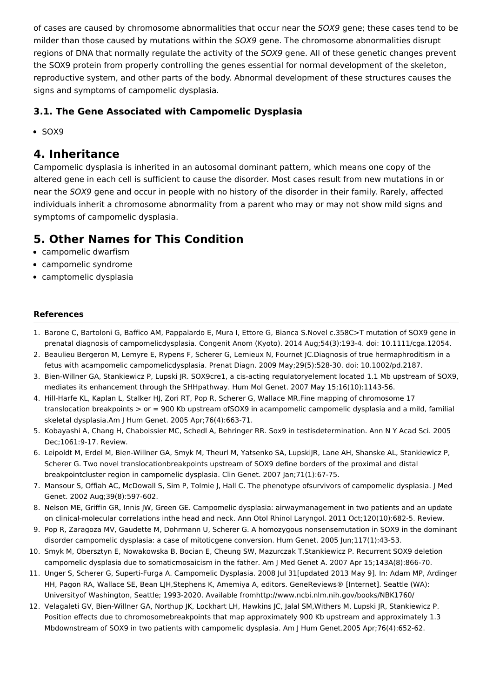of cases are caused by chromosome abnormalities that occur near the SOX9 gene; these cases tend to be milder than those caused by mutations within the SOX9 gene. The chromosome abnormalities disrupt regions of DNA that normally regulate the activity of the SOX9 gene. All of these genetic changes prevent the SOX9 protein from properly controlling the genes essential for normal development of the skeleton, reproductive system, and other parts of the body. Abnormal development of these structures causes the signs and symptoms of campomelic dysplasia.

### **3.1. The Gene Associated with Campomelic Dysplasia**

 $\bullet$  SOX9

## **4. Inheritance**

Campomelic dysplasia is inherited in an autosomal dominant pattern, which means one copy of the altered gene in each cell is sufficient to cause the disorder. Most cases result from new mutations in or near the SOX9 gene and occur in people with no history of the disorder in their family. Rarely, affected individuals inherit a chromosome abnormality from a parent who may or may not show mild signs and symptoms of campomelic dysplasia.

## **5. Other Names for This Condition**

- campomelic dwarfism
- campomelic syndrome
- camptomelic dysplasia

#### **References**

- 1. Barone C, Bartoloni G, Baffico AM, Pappalardo E, Mura I, Ettore G, Bianca S.Novel c.358C>T mutation of SOX9 gene in prenatal diagnosis of campomelicdysplasia. Congenit Anom (Kyoto). 2014 Aug;54(3):193-4. doi: 10.1111/cga.12054.
- 2. Beaulieu Bergeron M, Lemyre E, Rypens F, Scherer G, Lemieux N, Fournet JC.Diagnosis of true hermaphroditism in a fetus with acampomelic campomelicdysplasia. Prenat Diagn. 2009 May;29(5):528-30. doi: 10.1002/pd.2187.
- 3. Bien-Willner GA, Stankiewicz P, Lupski JR. SOX9cre1, a cis-acting regulatoryelement located 1.1 Mb upstream of SOX9, mediates its enhancement through the SHHpathway. Hum Mol Genet. 2007 May 15;16(10):1143-56.
- 4. Hill-Harfe KL, Kaplan L, Stalker HJ, Zori RT, Pop R, Scherer G, Wallace MR.Fine mapping of chromosome 17 translocation breakpoints > or = 900 Kb upstream ofSOX9 in acampomelic campomelic dysplasia and a mild, familial skeletal dysplasia.Am J Hum Genet. 2005 Apr;76(4):663-71.
- 5. Kobayashi A, Chang H, Chaboissier MC, Schedl A, Behringer RR. Sox9 in testisdetermination. Ann N Y Acad Sci. 2005 Dec;1061:9-17. Review.
- 6. Leipoldt M, Erdel M, Bien-Willner GA, Smyk M, Theurl M, Yatsenko SA, LupskiJR, Lane AH, Shanske AL, Stankiewicz P, Scherer G. Two novel translocationbreakpoints upstream of SOX9 define borders of the proximal and distal breakpointcluster region in campomelic dysplasia. Clin Genet. 2007 Jan;71(1):67-75.
- 7. Mansour S, Offiah AC, McDowall S, Sim P, Tolmie J, Hall C. The phenotype ofsurvivors of campomelic dysplasia. J Med Genet. 2002 Aug;39(8):597-602.
- 8. Nelson ME, Griffin GR, Innis JW, Green GE. Campomelic dysplasia: airwaymanagement in two patients and an update on clinical-molecular correlations inthe head and neck. Ann Otol Rhinol Laryngol. 2011 Oct;120(10):682-5. Review.
- 9. Pop R, Zaragoza MV, Gaudette M, Dohrmann U, Scherer G. A homozygous nonsensemutation in SOX9 in the dominant disorder campomelic dysplasia: a case of mitoticgene conversion. Hum Genet. 2005 Jun;117(1):43-53.
- 10. Smyk M, Obersztyn E, Nowakowska B, Bocian E, Cheung SW, Mazurczak T,Stankiewicz P. Recurrent SOX9 deletion campomelic dysplasia due to somaticmosaicism in the father. Am J Med Genet A. 2007 Apr 15;143A(8):866-70.
- 11. Unger S, Scherer G, Superti-Furga A. Campomelic Dysplasia. 2008 Jul 31[updated 2013 May 9]. In: Adam MP, Ardinger HH, Pagon RA, Wallace SE, Bean LJH,Stephens K, Amemiya A, editors. GeneReviews® [Internet]. Seattle (WA): Universityof Washington, Seattle; 1993-2020. Available fromhttp://www.ncbi.nlm.nih.gov/books/NBK1760/
- 12. Velagaleti GV, Bien-Willner GA, Northup JK, Lockhart LH, Hawkins JC, Jalal SM,Withers M, Lupski JR, Stankiewicz P. Position effects due to chromosomebreakpoints that map approximately 900 Kb upstream and approximately 1.3 Mbdownstream of SOX9 in two patients with campomelic dysplasia. Am J Hum Genet.2005 Apr;76(4):652-62.